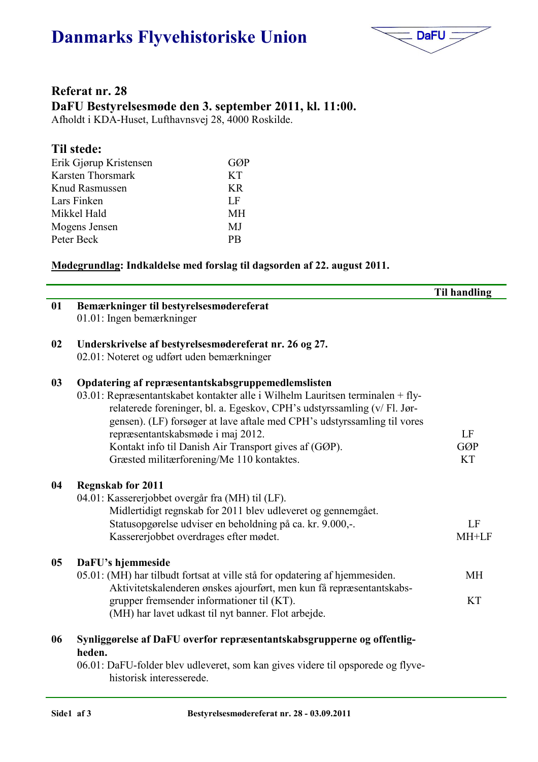# Danmarks Flyvehistoriske Union



## Referat nr. 28 DaFU Bestyrelsesmøde den 3. september 2011, kl. 11:00.

Afholdt i KDA-Huset, Lufthavnsvej 28, 4000 Roskilde.

#### Til stede:

| Erik Gjørup Kristensen | GØP       |
|------------------------|-----------|
| Karsten Thorsmark      | <b>KT</b> |
| Knud Rasmussen         | KR.       |
| Lars Finken            | LF        |
| Mikkel Hald            | MН        |
| Mogens Jensen          | MJ        |
| Peter Beck             | <b>PR</b> |
|                        |           |

#### Mødegrundlag: Indkaldelse med forslag til dagsorden af 22. august 2011.

| 01             | Bemærkninger til bestyrelsesmødereferat                                         |            |
|----------------|---------------------------------------------------------------------------------|------------|
|                |                                                                                 |            |
|                | 01.01: Ingen bemærkninger                                                       |            |
|                |                                                                                 |            |
| 02             | Underskrivelse af bestyrelsesmødereferat nr. 26 og 27.                          |            |
|                | 02.01: Noteret og udført uden bemærkninger                                      |            |
| 03             | Opdatering af repræsentantskabsgruppemedlemslisten                              |            |
|                | 03.01: Repræsentantskabet kontakter alle i Wilhelm Lauritsen terminalen + fly-  |            |
|                | relaterede foreninger, bl. a. Egeskov, CPH's udstyrssamling (v/ Fl. Jør-        |            |
|                | gensen). (LF) forsøger at lave aftale med CPH's udstyrssamling til vores        |            |
|                | repræsentantskabsmøde i maj 2012.                                               | LF         |
|                | Kontakt info til Danish Air Transport gives af (GØP).                           | <b>GØP</b> |
|                | Græsted militærforening/Me 110 kontaktes.                                       | <b>KT</b>  |
|                |                                                                                 |            |
| 04             | <b>Regnskab for 2011</b>                                                        |            |
|                | 04.01: Kassererjobbet overgår fra (MH) til (LF).                                |            |
|                | Midlertidigt regnskab for 2011 blev udleveret og gennemgået.                    |            |
|                | Statusopgørelse udviser en beholdning på ca. kr. 9.000,-.                       | LF         |
|                | Kassererjobbet overdrages efter mødet.                                          | MH+LF      |
|                |                                                                                 |            |
| 0 <sub>5</sub> | DaFU's hjemmeside                                                               |            |
|                | 05.01: (MH) har tilbudt fortsat at ville stå for opdatering af hjemmesiden.     | MH         |
|                | Aktivitetskalenderen ønskes ajourført, men kun få repræsentantskabs-            |            |
|                | grupper fremsender informationer til (KT).                                      | <b>KT</b>  |
|                | (MH) har lavet udkast til nyt banner. Flot arbejde.                             |            |
|                |                                                                                 |            |
| 06             | Synliggørelse af DaFU overfor repræsentantskabsgrupperne og offentlig-          |            |
|                | heden.                                                                          |            |
|                | 06.01: DaFU-folder blev udleveret, som kan gives videre til opsporede og flyve- |            |
|                | historisk interesserede.                                                        |            |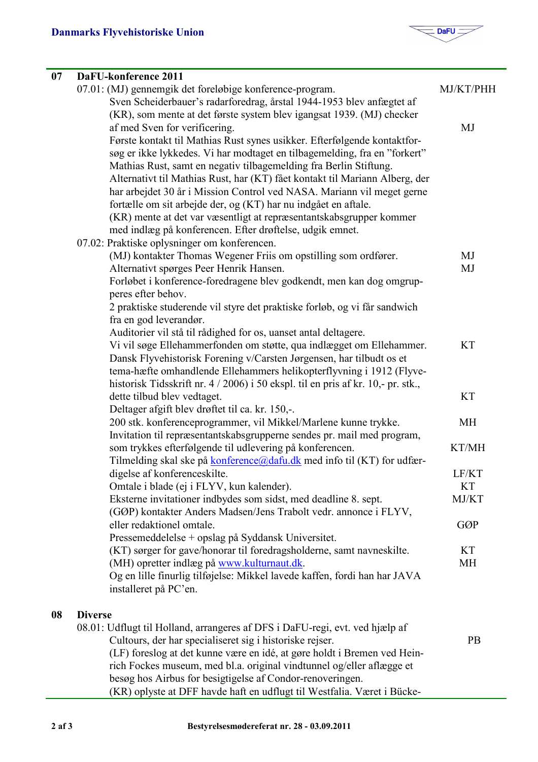

| 07 | DaFU-konference 2011                                                                                                                    |            |
|----|-----------------------------------------------------------------------------------------------------------------------------------------|------------|
|    | 07.01: (MJ) gennemgik det foreløbige konference-program.                                                                                | MJ/KT/PHH  |
|    | Sven Scheiderbauer's radarforedrag, årstal 1944-1953 blev anfægtet af                                                                   |            |
|    | (KR), som mente at det første system blev igangsat 1939. (MJ) checker                                                                   |            |
|    | af med Sven for verificering.                                                                                                           | MJ         |
|    | Første kontakt til Mathias Rust synes usikker. Efterfølgende kontaktfor-                                                                |            |
|    | søg er ikke lykkedes. Vi har modtaget en tilbagemelding, fra en "forkert"                                                               |            |
|    | Mathias Rust, samt en negativ tilbagemelding fra Berlin Stiftung.                                                                       |            |
|    | Alternativt til Mathias Rust, har (KT) fået kontakt til Mariann Alberg, der                                                             |            |
|    | har arbejdet 30 år i Mission Control ved NASA. Mariann vil meget gerne                                                                  |            |
|    | fortælle om sit arbejde der, og (KT) har nu indgået en aftale.                                                                          |            |
|    | (KR) mente at det var væsentligt at repræsentantskabsgrupper kommer                                                                     |            |
|    | med indlæg på konferencen. Efter drøftelse, udgik emnet.                                                                                |            |
|    | 07.02: Praktiske oplysninger om konferencen.                                                                                            |            |
|    | (MJ) kontakter Thomas Wegener Friis om opstilling som ordfører.                                                                         | MJ         |
|    | Alternativt spørges Peer Henrik Hansen.                                                                                                 | MJ         |
|    | Forløbet i konference-foredragene blev godkendt, men kan dog omgrup-                                                                    |            |
|    | peres efter behov.                                                                                                                      |            |
|    | 2 praktiske studerende vil styre det praktiske forløb, og vi får sandwich                                                               |            |
|    | fra en god leverandør.                                                                                                                  |            |
|    | Auditorier vil stå til rådighed for os, uanset antal deltagere.<br>Vi vil søge Ellehammerfonden om støtte, qua indlægget om Ellehammer. | <b>KT</b>  |
|    | Dansk Flyvehistorisk Forening v/Carsten Jørgensen, har tilbudt os et                                                                    |            |
|    | tema-hæfte omhandlende Ellehammers helikopterflyvning i 1912 (Flyve-                                                                    |            |
|    | historisk Tidsskrift nr. 4 / 2006) i 50 ekspl. til en pris af kr. 10,- pr. stk.,                                                        |            |
|    | dette tilbud blev vedtaget.                                                                                                             | <b>KT</b>  |
|    | Deltager afgift blev drøftet til ca. kr. 150,-.                                                                                         |            |
|    | 200 stk. konferenceprogrammer, vil Mikkel/Marlene kunne trykke.                                                                         | <b>MH</b>  |
|    | Invitation til repræsentantskabsgrupperne sendes pr. mail med program,                                                                  |            |
|    | som trykkes efterfølgende til udlevering på konferencen.                                                                                | KT/MH      |
|    | Tilmelding skal ske på <b>konference@dafu.dk</b> med info til (KT) for udfær-                                                           |            |
|    | digelse af konferenceskilte.                                                                                                            | LF/KT      |
|    | Omtale i blade (ej i FLYV, kun kalender).                                                                                               | <b>KT</b>  |
|    | Eksterne invitationer indbydes som sidst, med deadline 8. sept.                                                                         | MJ/KT      |
|    | (GØP) kontakter Anders Madsen/Jens Trabolt vedr. annonce i FLYV,                                                                        |            |
|    | eller redaktionel omtale.                                                                                                               | <b>GØP</b> |
|    | Pressemeddelelse + opslag på Syddansk Universitet.                                                                                      |            |
|    | (KT) sørger for gave/honorar til foredragsholderne, samt navneskilte.                                                                   | KT         |
|    | (MH) opretter indlæg på www.kulturnaut.dk.                                                                                              | <b>MH</b>  |
|    | Og en lille finurlig tilføjelse: Mikkel lavede kaffen, fordi han har JAVA                                                               |            |
|    | installeret på PC'en.                                                                                                                   |            |
| 08 | <b>Diverse</b>                                                                                                                          |            |
|    | 08.01: Udflugt til Holland, arrangeres af DFS i DaFU-regi, evt. ved hjælp af                                                            |            |
|    | Cultours, der har specialiseret sig i historiske rejser.                                                                                | <b>PB</b>  |
|    | (LF) foreslog at det kunne være en idé, at gøre holdt i Bremen ved Hein-                                                                |            |

besøg hos Airbus for besigtigelse af Condor-renoveringen. (KR) oplyste at DFF havde haft en udflugt til Westfalia. Været i Bücke-

rich Fockes museum, med bl.a. original vindtunnel og/eller aflægge et